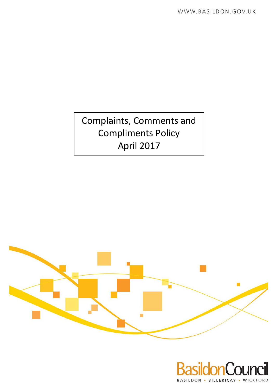Complaints, Comments and Compliments Policy April 2017



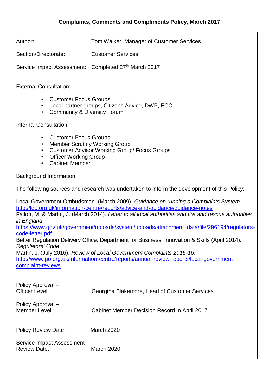| Author:                                                                                                                                                                                                                                                                                      | Tom Walker, Manager of Customer Services      |  |  |  |
|----------------------------------------------------------------------------------------------------------------------------------------------------------------------------------------------------------------------------------------------------------------------------------------------|-----------------------------------------------|--|--|--|
| Section/Directorate:                                                                                                                                                                                                                                                                         | <b>Customer Services</b>                      |  |  |  |
| Service Impact Assessment: Completed 27th March 2017                                                                                                                                                                                                                                         |                                               |  |  |  |
| <b>External Consultation:</b>                                                                                                                                                                                                                                                                |                                               |  |  |  |
| <b>Customer Focus Groups</b><br>$\bullet$<br>Local partner groups, Citizens Advice, DWP, ECC<br>$\bullet$<br><b>Community &amp; Diversity Forum</b><br>$\bullet$                                                                                                                             |                                               |  |  |  |
| Internal Consultation:                                                                                                                                                                                                                                                                       |                                               |  |  |  |
| <b>Customer Focus Groups</b><br>$\bullet$<br><b>Member Scrutiny Working Group</b><br>$\bullet$<br><b>Customer Advisor Working Group/ Focus Groups</b><br>$\bullet$<br><b>Officer Working Group</b><br>$\bullet$<br><b>Cabinet Member</b><br>$\bullet$                                        |                                               |  |  |  |
| <b>Background Information:</b>                                                                                                                                                                                                                                                               |                                               |  |  |  |
| The following sources and research was undertaken to inform the development of this Policy;                                                                                                                                                                                                  |                                               |  |  |  |
| Local Government Ombudsman. (March 2009). Guidance on running a Complaints System<br>http://lgo.org.uk/information-centre/reports/advice-and-guidance/guidance-notes<br>Fallon, M. & Martin, J. (March 2014). Letter to all local authorities and fire and rescue authorities<br>in England. |                                               |  |  |  |
| https://www.gov.uk/government/uploads/system/uploads/attachment_data/file/296194/regulators-<br>code-letter.pdf<br>Better Regulation Delivery Office: Department for Business, Innovation & Skills (April 2014).<br><b>Regulators' Code</b>                                                  |                                               |  |  |  |
| Martin, J. (July 2016). Review of Local Government Complaints 2015-16.<br>http://www.lgo.org.uk/information-centre/reports/annual-review-reports/local-government-<br>complaint-reviews                                                                                                      |                                               |  |  |  |
| Policy Approval -<br><b>Officer Level</b>                                                                                                                                                                                                                                                    | Georgina Blakemore, Head of Customer Services |  |  |  |
| Policy Approval -<br><b>Member Level</b>                                                                                                                                                                                                                                                     | Cabinet Member Decision Record in April 2017  |  |  |  |
| <b>Policy Review Date:</b>                                                                                                                                                                                                                                                                   | <b>March 2020</b>                             |  |  |  |
| Service Impact Assessment<br><b>Review Date:</b>                                                                                                                                                                                                                                             | March 2020                                    |  |  |  |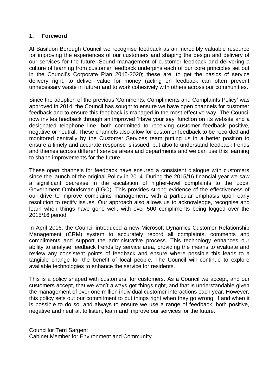#### **1. Foreword**

At Basildon Borough Council we recognise feedback as an incredibly valuable resource for improving the experiences of our customers and shaping the design and delivery of our services for the future. Sound management of customer feedback and delivering a culture of learning from customer feedback underpins each of our core principles set out in the Council's Corporate Plan 2016-2020; these are, to get the basics of service delivery right, to deliver value for money (acting on feedback can often prevent unnecessary waste in future) and to work cohesively with others across our communities.

Since the adoption of the previous 'Comments, Compliments and Complaints Policy' was approved in 2014, the Council has sought to ensure we have open channels for customer feedback and to ensure this feedback is managed in the most effective way. The Council now invites feedback through an improved 'Have your say' function on its website and a designated telephone line, both committed to receiving customer feedback positive, negative or neutral. These channels also allow for customer feedback to be recorded and monitored centrally by the Customer Services team putting us in a better position to ensure a timely and accurate response is issued, but also to understand feedback trends and themes across different service areas and departments and we can use this learning to shape improvements for the future.

These open channels for feedback have ensured a consistent dialogue with customers since the launch of the original Policy in 2014. During the 2015/16 financial year we saw a significant decrease in the escalation of higher-level complaints to the Local Government Ombudsman (LGO). This provides strong evidence of the effectiveness of our drive to improve complaints management, with a particular emphasis upon early resolution to rectify issues. Our approach also allows us to acknowledge, recognise and learn when things have gone well, with over 500 compliments being logged over the 2015/16 period.

In April 2016, the Council introduced a new Microsoft Dynamics Customer Relationship Management (CRM) system to accurately record all complaints, comments and compliments and support the administrative process. This technology enhances our ability to analyse feedback trends by service area, providing the means to evaluate and review any consistent points of feedback and ensure where possible this leads to a tangible change for the benefit of local people. The Council will continue to explore available technologies to enhance the service for residents.

This is a policy shaped with customers, for customers. As a Council we accept, and our customers accept, that we won't always get things right, and that is understandable given the management of over one million individual customer interactions each year. However, this policy sets out our commitment to put things right when they go wrong, if and when it is possible to do so, and always to ensure we use a range of feedback, both positive, negative and neutral, to listen, learn and improve our services for the future.

Councillor Terri Sargent Cabinet Member for Environment and Community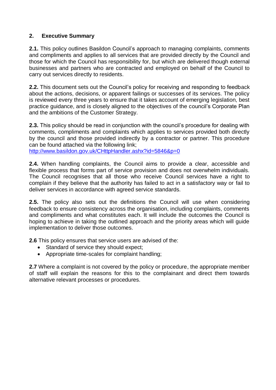# **2. Executive Summary**

**2.1.** This policy outlines Basildon Council's approach to managing complaints, comments and compliments and applies to all services that are provided directly by the Council and those for which the Council has responsibility for, but which are delivered though external businesses and partners who are contracted and employed on behalf of the Council to carry out services directly to residents.

**2.2.** This document sets out the Council's policy for receiving and responding to feedback about the actions, decisions, or apparent failings or successes of its services. The policy is reviewed every three years to ensure that it takes account of emerging legislation, best practice guidance, and is closely aligned to the objectives of the council's Corporate Plan and the ambitions of the Customer Strategy.

**2.3.** This policy should be read in conjunction with the council's procedure for dealing with comments, compliments and complaints which applies to services provided both directly by the council and those provided indirectly by a contractor or partner. This procedure can be found attached via the following link;

<http://www.basildon.gov.uk/CHttpHandler.ashx?id=5846&p=0>

**2.4.** When handling complaints, the Council aims to provide a clear, accessible and flexible process that forms part of service provision and does not overwhelm individuals. The Council recognises that all those who receive Council services have a right to complain if they believe that the authority has failed to act in a satisfactory way or fail to deliver services in accordance with agreed service standards.

**2.5.** The policy also sets out the definitions the Council will use when considering feedback to ensure consistency across the organisation, including complaints, comments and compliments and what constitutes each. It will include the outcomes the Council is hoping to achieve in taking the outlined approach and the priority areas which will guide implementation to deliver those outcomes.

**2.6** This policy ensures that service users are advised of the:

- Standard of service they should expect;
- Appropriate time-scales for complaint handling;

**2.7** Where a complaint is not covered by the policy or procedure, the appropriate member of staff will explain the reasons for this to the complainant and direct them towards alternative relevant processes or procedures.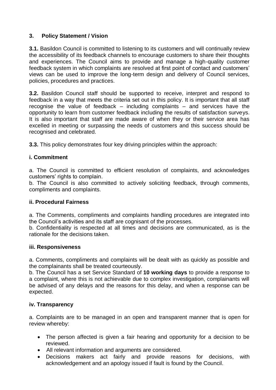# **3. Policy Statement / Vision**

**3.1.** Basildon Council is committed to listening to its customers and will continually review the accessibility of its feedback channels to encourage customers to share their thoughts and experiences. The Council aims to provide and manage a high-quality customer feedback system in which complaints are resolved at first point of contact and customers' views can be used to improve the long-term design and delivery of Council services, policies, procedures and practices.

**3.2.** Basildon Council staff should be supported to receive, interpret and respond to feedback in a way that meets the criteria set out in this policy. It is important that all staff recognise the value of feedback – including complaints – and services have the opportunity to learn from customer feedback including the results of satisfaction surveys. It is also important that staff are made aware of when they or their service area has excelled in meeting or surpassing the needs of customers and this success should be recognised and celebrated.

**3.3.** This policy demonstrates four key driving principles within the approach:

# **i. Commitment**

a. The Council is committed to efficient resolution of complaints, and acknowledges customers' rights to complain.

b. The Council is also committed to actively soliciting feedback, through comments, compliments and complaints.

#### **ii. Procedural Fairness**

a. The Comments, compliments and complaints handling procedures are integrated into the Council's activities and its staff are cognisant of the processes.

b. Confidentiality is respected at all times and decisions are communicated, as is the rationale for the decisions taken.

#### **iii. Responsiveness**

a. Comments, compliments and complaints will be dealt with as quickly as possible and the complainants shall be treated courteously.

b. The Council has a set Service Standard of **10 working days** to provide a response to a complaint, where this is not achievable due to complex investigation, complainants will be advised of any delays and the reasons for this delay, and when a response can be expected.

#### **iv. Transparency**

a. Complaints are to be managed in an open and transparent manner that is open for review whereby:

- The person affected is given a fair hearing and opportunity for a decision to be reviewed.
- All relevant information and arguments are considered.
- Decisions makers act fairly and provide reasons for decisions, with acknowledgement and an apology issued if fault is found by the Council.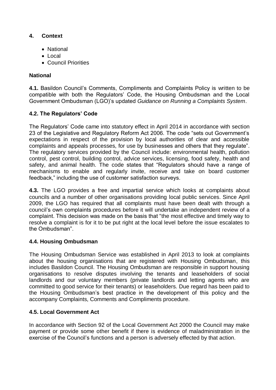# **4. Context**

- National
- $\bullet$  Local
- Council Priorities

# **National**

**4.1.** Basildon Council's Comments, Compliments and Complaints Policy is written to be compatible with both the Regulators' Code, the Housing Ombudsman and the Local Government Ombudsman (LGO)'s updated *Guidance on Running a Complaints System*.

# **4.2. The Regulators' Code**

The Regulators' Code came into statutory effect in April 2014 in accordance with section 23 of the Legislative and Regulatory Reform Act 2006. The code "sets out Government's expectations in respect of the provision by local authorities of clear and accessible complaints and appeals processes, for use by businesses and others that they regulate". The regulatory services provided by the Council include: environmental health, pollution control, pest control, building control, advice services, licensing, food safety, health and safety, and animal health. The code states that "Regulators should have a range of mechanisms to enable and regularly invite, receive and take on board customer feedback," including the use of customer satisfaction surveys.

**4.3.** The LGO provides a free and impartial service which looks at complaints about councils and a number of other organisations providing local public services. Since April 2009, the LGO has required that all complaints must have been dealt with through a council's own complaints procedures before it will undertake an independent review of a complaint. This decision was made on the basis that "the most effective and timely way to resolve a complaint is for it to be put right at the local level before the issue escalates to the Ombudsman".

#### **4.4. Housing Ombudsman**

The Housing Ombudsman Service was established in April 2013 to look at complaints about the housing organisations that are registered with Housing Ombudsman, this includes Basildon Council. The Housing Ombudsman are responsible in support housing organisations to resolve disputes involving the tenants and leaseholders of social landlords and our voluntary members (private landlords and letting agents who are committed to good service for their tenants) or leaseholders. Due regard has been paid to the Housing Ombudsman's best practice in the development of this policy and the accompany Complaints, Comments and Compliments procedure.

#### **4.5. Local Government Act**

In accordance with Section 92 of the Local Government Act 2000 the Council may make payment or provide some other benefit if there is evidence of maladministration in the exercise of the Council's functions and a person is adversely effected by that action.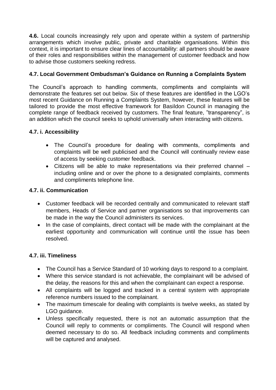**4.6.** Local councils increasingly rely upon and operate within a system of partnership arrangements which involve public, private and charitable organisations. Within this context, it is important to ensure clear lines of accountability: all partners should be aware of their roles and responsibilities within the management of customer feedback and how to advise those customers seeking redress.

# **4.7. Local Government Ombudsman's Guidance on Running a Complaints System**

The Council's approach to handling comments, compliments and complaints will demonstrate the features set out below. Six of these features are identified in the LGO's most recent Guidance on Running a Complaints System, however, these features will be tailored to provide the most effective framework for Basildon Council in managing the complete range of feedback received by customers. The final feature, "transparency", is an addition which the council seeks to uphold universally when interacting with citizens.

#### **4.7. i. Accessibility**

- The Council's procedure for dealing with comments, compliments and complaints will be well publicised and the Council will continually review ease of access by seeking customer feedback.
- Citizens will be able to make representations via their preferred channel including online and or over the phone to a designated complaints, comments and compliments telephone line.

#### **4.7. ii. Communication**

- Customer feedback will be recorded centrally and communicated to relevant staff members, Heads of Service and partner organisations so that improvements can be made in the way the Council administers its services.
- In the case of complaints, direct contact will be made with the complainant at the earliest opportunity and communication will continue until the issue has been resolved.

#### **4.7. iii. Timeliness**

- The Council has a Service Standard of 10 working days to respond to a complaint.
- Where this service standard is not achievable, the complainant will be advised of the delay, the reasons for this and when the complainant can expect a response.
- All complaints will be logged and tracked in a central system with appropriate reference numbers issued to the complainant.
- The maximum timescale for dealing with complaints is twelve weeks, as stated by LGO guidance.
- Unless specifically requested, there is not an automatic assumption that the Council will reply to comments or compliments. The Council will respond when deemed necessary to do so. All feedback including comments and compliments will be captured and analysed.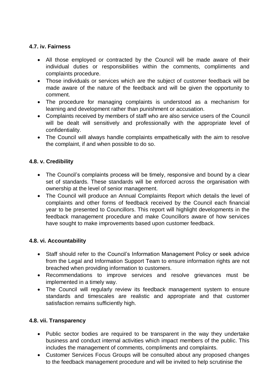# **4.7. iv. Fairness**

- All those employed or contracted by the Council will be made aware of their individual duties or responsibilities within the comments, compliments and complaints procedure.
- Those individuals or services which are the subject of customer feedback will be made aware of the nature of the feedback and will be given the opportunity to comment.
- The procedure for managing complaints is understood as a mechanism for learning and development rather than punishment or accusation.
- Complaints received by members of staff who are also service users of the Council will be dealt will sensitively and professionally with the appropriate level of confidentiality.
- The Council will always handle complaints empathetically with the aim to resolve the complaint, if and when possible to do so.

# **4.8. v. Credibility**

- The Council's complaints process will be timely, responsive and bound by a clear set of standards. These standards will be enforced across the organisation with ownership at the level of senior management.
- The Council will produce an Annual Complaints Report which details the level of complaints and other forms of feedback received by the Council each financial year to be presented to Councillors. This report will highlight developments in the feedback management procedure and make Councillors aware of how services have sought to make improvements based upon customer feedback.

#### **4.8. vi. Accountability**

- Staff should refer to the Council's Information Management Policy or seek advice from the Legal and Information Support Team to ensure information rights are not breached when providing information to customers.
- Recommendations to improve services and resolve grievances must be implemented in a timely way.
- The Council will regularly review its feedback management system to ensure standards and timescales are realistic and appropriate and that customer satisfaction remains sufficiently high.

#### **4.8. vii. Transparency**

- Public sector bodies are required to be transparent in the way they undertake business and conduct internal activities which impact members of the public. This includes the management of comments, compliments and complaints.
- Customer Services Focus Groups will be consulted about any proposed changes to the feedback management procedure and will be invited to help scrutinise the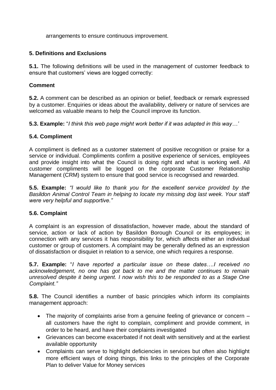arrangements to ensure continuous improvement.

# **5. Definitions and Exclusions**

**5.1.** The following definitions will be used in the management of customer feedback to ensure that customers' views are logged correctly:

# **Comment**

**5.2.** A comment can be described as an opinion or belief, feedback or remark expressed by a customer. Enquiries or ideas about the availability, delivery or nature of services are welcomed as valuable means to help the Council improve its function.

**5.3. Example:** "*I think this web page might work better if it was adapted in this way…'*

# **5.4. Compliment**

A compliment is defined as a customer statement of positive recognition or praise for a service or individual. Compliments confirm a positive experience of services, employees and provide insight into what the Council is doing right and what is working well. All customer compliments will be logged on the corporate Customer Relationship Management (CRM) system to ensure that good service is recognised and rewarded.

**5.5. Example:** *"I would like to thank you for the excellent service provided by the Basildon Animal Control Team in helping to locate my missing dog last week. Your staff were very helpful and supportive."*

#### **5.6. Complaint**

A complaint is an expression of dissatisfaction, however made, about the standard of service, action or lack of action by Basildon Borough Council or its employees; in connection with any services it has responsibility for, which affects either an individual customer or group of customers. A complaint may be generally defined as an expression of dissatisfaction or disquiet in relation to a service, one which requires a response.

**5.7. Example:** "*I have reported a particular issue on these dates….I received no acknowledgement, no one has got back to me and the matter continues to remain unresolved despite it being urgent. I now wish this to be responded to as a Stage One Complaint."*

**5.8.** The Council identifies a number of basic principles which inform its complaints management approach:

- The majority of complaints arise from a genuine feeling of grievance or concern all customers have the right to complain, compliment and provide comment, in order to be heard, and have their complaints investigated
- Grievances can become exacerbated if not dealt with sensitively and at the earliest available opportunity
- Complaints can serve to highlight deficiencies in services but often also highlight more efficient ways of doing things, this links to the principles of the Corporate Plan to deliver Value for Money services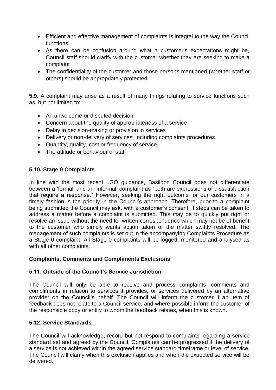- Efficient and effective management of complaints is integral to the way the Council functions
- As there can be confusion around what a customer's expectations might be, Council staff should clarify with the customer whether they are seeking to make a complaint
- The confidentiality of the customer and those persons mentioned (whether staff or others) should be appropriately protected

**5.9.** A complaint may arise as a result of many things relating to service functions such as, but not limited to:

- An unwelcome or disputed decision
- Concern about the quality of appropriateness of a service
- Delay in decision-making or provision in services
- Delivery or non-delivery of services, including complaints procedures
- Quantity, quality, cost or frequency of service
- The attitude or behaviour of staff

#### **5.10. Stage 0 Complaints**

In line with the most recent LGO guidance, Basildon Council does not differentiate between a 'formal' and an 'informal' complaint as "both are expressions of dissatisfaction that require a response." However, seeking the right outcome for our customers in a timely fashion is the priority in the Council's approach. Therefore, prior to a complaint being submitted the Council may ask, with a customer's consent, if steps can be taken to address a matter before a complaint is submitted. This may be to quickly put right or resolve an issue without the need for written correspondence which may not be of benefit to the customer who simply wants action taken or the matter swiftly resolved. The management of such complaints is set out in the accompanying Complaints Procedure as a Stage 0 complaint. All Stage 0 complaints will be logged, monitored and analysed as with all other complaints.

#### **Complaints, Comments and Compliments Exclusions**

#### **5.11. Outside of the Council's Service Jurisdiction**

The Council will only be able to receive and process complaints, comments and compliments in relation to services it provides, or services delivered by an alternative provider on the Council's behalf. The Council will inform the customer if an item of feedback does not relate to a Council service, and where possible inform the customer of the responsible body or entity to whom the feedback relates, when this is known.

#### **5.12. Service Standards**

The Council will acknowledge, record but not respond to complaints regarding a service standard set and agreed by the Council. Complaints can be progressed if the delivery of a service is not achieved within the agreed service standard timeframe or level of service. The Council will clarify when this exclusion applies and when the expected service will be delivered.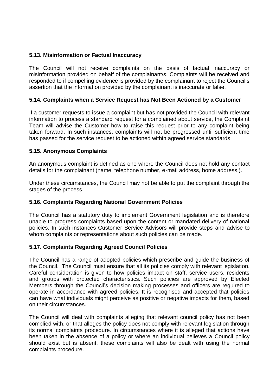#### **5.13. Misinformation or Factual Inaccuracy**

The Council will not receive complaints on the basis of factual inaccuracy or misinformation provided on behalf of the complainant/s. Complaints will be received and responded to if compelling evidence is provided by the complainant to reject the Council's assertion that the information provided by the complainant is inaccurate or false.

#### **5.14. Complaints when a Service Request has Not Been Actioned by a Customer**

If a customer requests to issue a complaint but has not provided the Council with relevant information to process a standard request for a complained about service, the Complaint Team will advise the Customer how to raise this request prior to any complaint being taken forward. In such instances, complaints will not be progressed until sufficient time has passed for the service request to be actioned within agreed service standards.

#### **5.15. Anonymous Complaints**

An anonymous complaint is defined as one where the Council does not hold any contact details for the complainant (name, telephone number, e-mail address, home address.).

Under these circumstances, the Council may not be able to put the complaint through the stages of the process.

#### **5.16. Complaints Regarding National Government Policies**

The Council has a statutory duty to implement Government legislation and is therefore unable to progress complaints based upon the content or mandated delivery of national policies. In such instances Customer Service Advisors will provide steps and advise to whom complaints or representations about such policies can be made.

#### **5.17. Complaints Regarding Agreed Council Policies**

The Council has a range of adopted policies which prescribe and guide the business of the Council. The Council must ensure that all its policies comply with relevant legislation. Careful consideration is given to how policies impact on staff, service users, residents and groups with protected characteristics. Such policies are approved by Elected Members through the Council's decision making processes and officers are required to operate in accordance with agreed policies. It is recognised and accepted that policies can have what individuals might perceive as positive or negative impacts for them, based on their circumstances.

The Council will deal with complaints alleging that relevant council policy has not been complied with, or that alleges the policy does not comply with relevant legislation through its normal complaints procedure. In circumstances where it is alleged that actions have been taken in the absence of a policy or where an individual believes a Council policy should exist but is absent, these complaints will also be dealt with using the normal complaints procedure.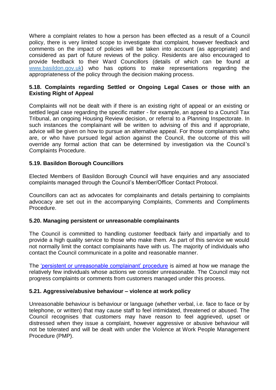Where a complaint relates to how a person has been effected as a result of a Council policy, there is very limited scope to investigate that complaint, however feedback and comments on the impact of policies will be taken into account (as appropriate) and considered as part of future reviews of the policy. Residents are also encouraged to provide feedback to their Ward Councillors (details of which can be found at [www.basildon.gov.uk\)](http://www.basildon.gov.uk/) who has options to make representations regarding the appropriateness of the policy through the decision making process.

#### **5.18. Complaints regarding Settled or Ongoing Legal Cases or those with an Existing Right of Appeal**

Complaints will not be dealt with if there is an existing right of appeal or an existing or settled legal case regarding the specific matter - for example, an appeal to a Council Tax Tribunal, an ongoing Housing Review decision, or referral to a Planning Inspectorate. In such instances the complainant will be written to advising of this and if appropriate, advice will be given on how to pursue an alternative appeal. For those complainants who are, or who have pursued legal action against the Council, the outcome of this will override any formal action that can be determined by investigation via the Council's Complaints Procedure.

#### **5.19. Basildon Borough Councillors**

Elected Members of Basildon Borough Council will have enquiries and any associated complaints managed through the Council's Member/Officer Contact Protocol.

Councillors can act as advocates for complainants and details pertaining to complaints advocacy are set out in the accompanying Complaints, Comments and Compliments Procedure.

#### **5.20. Managing persistent or unreasonable complainants**

The Council is committed to handling customer feedback fairly and impartially and to provide a high quality service to those who make them. As part of this service we would not normally limit the contact complainants have with us. The majority of individuals who contact the Council communicate in a polite and reasonable manner.

The ['persistent or unreasonable complainant' procedure](mailto:http://www.basildon.gov.uk/CHttpHandler.ashx?id=5884&p=0) is aimed at how we manage the relatively few individuals whose actions we consider unreasonable. The Council may not progress complaints or comments from customers managed under this process.

#### **5.21. Aggressive/abusive behaviour – violence at work policy**

Unreasonable behaviour is behaviour or language (whether verbal, i.e. face to face or by telephone, or written) that may cause staff to feel intimidated, threatened or abused. The Council recognises that customers may have reason to feel aggrieved, upset or distressed when they issue a complaint, however aggressive or abusive behaviour will not be tolerated and will be dealt with under the Violence at Work People Management Procedure (PMP).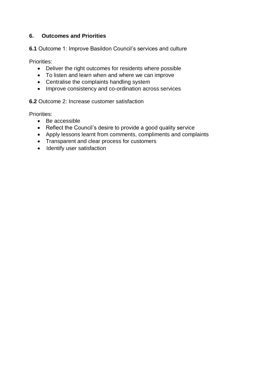# **6. Outcomes and Priorities**

**6.1** Outcome 1: Improve Basildon Council's services and culture

Priorities:

- Deliver the right outcomes for residents where possible
- To listen and learn when and where we can improve
- Centralise the complaints handling system
- Improve consistency and co-ordination across services

**6.2** Outcome 2: Increase customer satisfaction

Priorities:

- Be accessible
- Reflect the Council's desire to provide a good quality service
- Apply lessons learnt from comments, compliments and complaints
- Transparent and clear process for customers
- Identify user satisfaction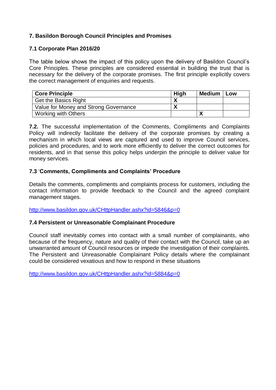# **7. Basildon Borough Council Principles and Promises**

#### **7.1 Corporate Plan 2016/20**

The table below shows the impact of this policy upon the delivery of Basildon Council's Core Principles. These principles are considered essential in building the trust that is necessary for the delivery of the corporate promises. The first principle explicitly covers the correct management of enquiries and requests.

| <b>Core Principle</b>                 | <b>High</b> | <b>Medium</b> | Low |
|---------------------------------------|-------------|---------------|-----|
| <b>Get the Basics Right</b>           |             |               |     |
| Value for Money and Strong Governance |             |               |     |
| <b>Working with Others</b>            |             |               |     |

**7.2.** The successful implementation of the Comments, Compliments and Complaints Policy will indirectly facilitate the delivery of the corporate promises by creating a mechanism in which local views are captured and used to improve Council services, policies and procedures, and to work more efficiently to deliver the correct outcomes for residents, and in that sense this policy helps underpin the principle to deliver value for money services.

#### **7.3** '**Comments, Compliments and Complaints' Procedure**

Details the comments, compliments and complaints process for customers, including the contact information to provide feedback to the Council and the agreed complaint management stages.

<http://www.basildon.gov.uk/CHttpHandler.ashx?id=5846&p=0>

#### **7.4 Persistent or Unreasonable Complainant Procedure**

Council staff inevitably comes into contact with a small number of complainants, who because of the frequency, nature and quality of their contact with the Council, take up an unwarranted amount of Council resources or impede the investigation of their complaints. The Persistent and Unreasonable Complainant Policy details where the complainant could be considered vexatious and how to respond in these situations

<http://www.basildon.gov.uk/CHttpHandler.ashx?id=5884&p=0>